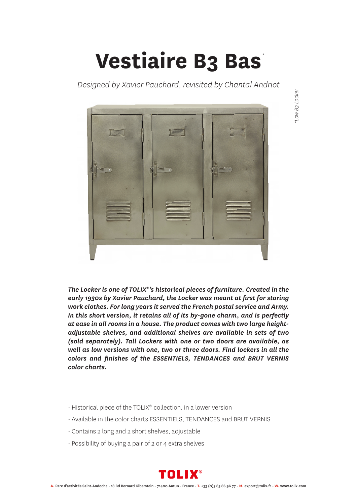## **Vestiaire B3 Bas** *\**

*Designed by Xavier Pauchard, revisited by Chantal Andriot*



*The Locker is one of TOLIX®'s historical pieces of furniture. Created in the early 1930s by Xavier Pauchard, the Locker was meant at first for storing work clothes. For long years it served the French postal service and Army. In this short version, it retains all of its by-gone charm, and is perfectly at ease in all rooms in a house. The product comes with two large heightadjustable shelves, and additional shelves are available in sets of two (sold separately). Tall Lockers with one or two doors are available, as well as low versions with one, two or three doors. Find lockers in all the colors and finishes of the ESSENTIELS, TENDANCES and BRUT VERNIS color charts.*

- Historical piece of the TOLIX® collection, in a lower version
- Available in the color charts ESSENTIELS, TENDANCES and BRUT VERNIS
- Contains 2 long and 2 short shelves, adjustable
- Possibility of buying a pair of 2 or 4 extra shelves